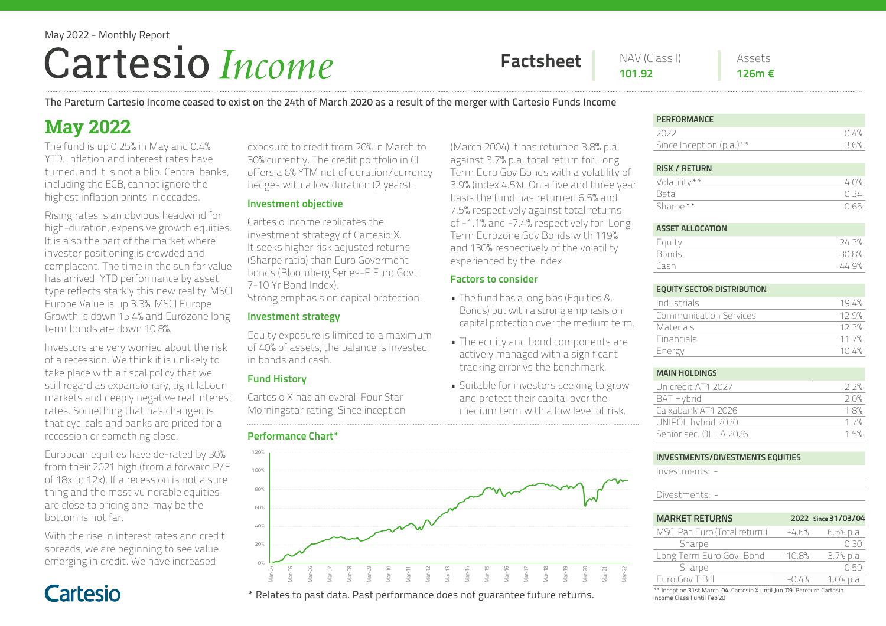# May 2022 - Monthly Report Cartesio Income

Factsheet NAV (Class I) Assets

(March 2004) it has returned 3.8% p.a. against 3.7% p.a. total return for Long Term Euro Gov Bonds with a volatility of 3.9% (index 4.5%). On a five and three year basis the fund has returned 6.5% and 7.5% respectively against total returns of -1.1% and -7.4% respectively for Long Term Eurozone Gov Bonds with 119% and 130% respectively of the volatility

experienced by the index.

• The fund has a long bias (Equities & Bonds) but with a strong emphasis on capital protection over the medium term. • The equity and bond components are actively managed with a significant tracking error vs the benchmark. • Suitable for investors seeking to grow and protect their capital over the medium term with a low level of risk.

Factors to consider

126m €

The Pareturn Cartesio Income ceased to exist on the 24th of March 2020 as a result of the merger with Cartesio Funds Income

## **May 2022**

The fund is up 0.25% in May and 0.4% YTD. Inflation and interest rates have turned, and it is not a blip. Central banks, including the ECB, cannot ignore the highest inflation prints in decades.

Rising rates is an obvious headwind for high-duration, expensive growth equities. It is also the part of the market where investor positioning is crowded and complacent. The time in the sun for value has arrived. YTD performance by asset type reflects starkly this new reality: MSCI Europe Value is up 3.3%, MSCI Europe Growth is down 15.4% and Eurozone long term bonds are down 10.8%.

Investors are very worried about the risk of a recession. We think it is unlikely to take place with a fiscal policy that we still regard as expansionary, tight labour markets and deeply negative real interest rates. Something that has changed is that cyclicals and banks are priced for a recession or something close.

European equities have de-rated by 30% from their 2021 high (from a forward P/E of 18x to 12x). If a recession is not a sure thing and the most vulnerable equities are close to pricing one, may be the bottom is not far.

With the rise in interest rates and credit spreads, we are beginning to see value emerging in credit. We have increased

Cartesio

exposure to credit from 20% in March to 30% currently. The credit portfolio in CI offers a 6% YTM net of duration/currency hedges with a low duration (2 years).

#### Investment objective

Cartesio Income replicates the investment strategy of Cartesio X. It seeks higher risk adjusted returns (Sharpe ratio) than Euro Goverment bonds (Bloomberg Series-E Euro Govt 7-10 Yr Bond Index).

Strong emphasis on capital protection.

### Investment strategy

Equity exposure is limited to a maximum of 40% of assets, the balance is invested in bonds and cash.

#### Fund History

Cartesio X has an overall Four Star Morningstar rating. Since inception

#### Performance Chart\*



\* Relates to past data. Past performance does not guarantee future returns.

#### **PERFORMANCE**

| 2022                        | 0.4% |
|-----------------------------|------|
| Since Inception $(p.a.)$ ** | 36%  |
|                             |      |

#### RISK / RETURN

| Volatility** | 40%       |
|--------------|-----------|
| . Reta       | $(1 - 3)$ |
| Sharpe**     | 1165      |
|              |           |

#### ASSET ALLOCATION Equity 24.3% Bonds 30.8% Cash 44.9%

#### EQUITY SECTOR DISTRIBUTION

| Industrials                   | 194%  |
|-------------------------------|-------|
| <b>Communication Services</b> | 12.9% |
| Materials                     | 123%  |
| <b>Financials</b>             | 11 7% |
| Energy                        | 104%  |

#### MAIN HOLDINGS

| Unicredit AT1 2027     | つつ%  |
|------------------------|------|
| <b>BAT Hybrid</b>      | 2 O% |
| Caixabank AT1 2026     | 18%  |
| UNIPOL hybrid 2030     | 17%  |
| Senior sec. OHI A 2026 | 1.5% |

#### INVESTMENTS/DIVESTMENTS EQUITIES

Investments: -

Divestments: -

Mar-22

| <b>MARKET RETURNS</b>         |          | 2022 Since 31/03/04 |
|-------------------------------|----------|---------------------|
| MSCI Pan Euro (Total return.) | -4.6%    | 6.5% p.a.           |
| Sharpe                        |          | N 50                |
| Long Term Euro Gov. Bond      | $-10.8%$ | $3.7%$ p.a.         |
| Sharpe                        |          | N 59                |
| Furo Gov T Bill               | $-0.4%$  | $1.0%$ p.a.         |

\*\* Inception 31st March '04. Cartesio X until Jun '09. Pareturn Cartesio Income Class I until Feb'20